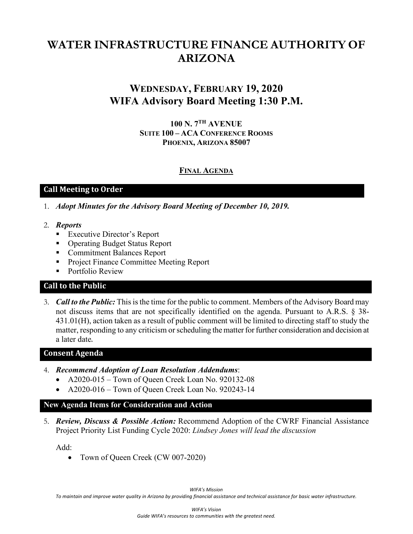# **WATER INFRASTRUCTURE FINANCE AUTHORITY OF ARIZONA**

# **WEDNESDAY, FEBRUARY 19, 2020 WIFA Advisory Board Meeting 1:30 P.M.**

**100 N. 7TH AVENUE SUITE 100 – ACA CONFERENCE ROOMS PHOENIX, ARIZONA 85007**

### **FINAL AGENDA**

# **Call Meeting to Order**

- 1. *Adopt Minutes for the Advisory Board Meeting of December 10, 2019.*
- 2. *Reports*
	- **Executive Director's Report**
	- Operating Budget Status Report
	- Commitment Balances Report
	- **Project Finance Committee Meeting Report**
	- **Portfolio Review**

# **Call to the Public**

3. *Call to the Public:* This is the time for the public to comment. Members of the Advisory Board may not discuss items that are not specifically identified on the agenda. Pursuant to A.R.S. § 38- 431.01(H), action taken as a result of public comment will be limited to directing staff to study the matter, responding to any criticism or scheduling the matter for further consideration and decision at a later date.

# **Consent Agenda**

- 4. *Recommend Adoption of Loan Resolution Addendums*:
	- A2020-015 Town of Queen Creek Loan No. 920132-08
	- A2020-016 Town of Queen Creek Loan No. 920243-14

#### **New Agenda Items for Consideration and Action**

5. *Review, Discuss & Possible Action:* Recommend Adoption of the CWRF Financial Assistance Project Priority List Funding Cycle 2020: *Lindsey Jones will lead the discussion*

Add:

• Town of Queen Creek (CW 007-2020)

*WIFA's Mission*

*To maintain and improve water quality in Arizona by providing financial assistance and technical assistance for basic water infrastructure.*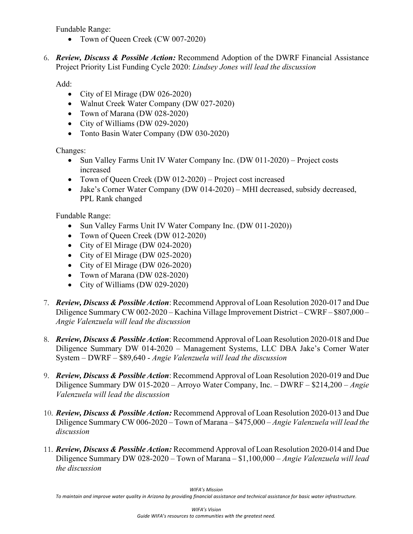Fundable Range:

- Town of Queen Creek (CW 007-2020)
- 6. *Review, Discuss & Possible Action:* Recommend Adoption of the DWRF Financial Assistance Project Priority List Funding Cycle 2020: *Lindsey Jones will lead the discussion*

Add:

- City of El Mirage (DW 026-2020)
- Walnut Creek Water Company (DW 027-2020)
- Town of Marana (DW 028-2020)
- City of Williams (DW 029-2020)
- Tonto Basin Water Company (DW 030-2020)

Changes:

- Sun Valley Farms Unit IV Water Company Inc. (DW 011-2020) Project costs increased
- Town of Queen Creek (DW 012-2020) Project cost increased
- Jake's Corner Water Company (DW 014-2020) MHI decreased, subsidy decreased, PPL Rank changed

Fundable Range:

- Sun Valley Farms Unit IV Water Company Inc. (DW 011-2020))
- Town of Queen Creek (DW 012-2020)
- City of El Mirage (DW 024-2020)
- City of El Mirage (DW 025-2020)
- City of El Mirage (DW 026-2020)
- Town of Marana (DW 028-2020)
- City of Williams (DW 029-2020)
- 7. *Review, Discuss & Possible Action*: Recommend Approval of Loan Resolution 2020-017 and Due Diligence Summary CW 002-2020 – Kachina Village Improvement District – CWRF – \$807,000 – *Angie Valenzuela will lead the discussion*
- 8. *Review, Discuss & Possible Action*: Recommend Approval of Loan Resolution 2020-018 and Due Diligence Summary DW 014-2020 – Management Systems, LLC DBA Jake's Corner Water System – DWRF – \$89,640 - *Angie Valenzuela will lead the discussion*
- 9. *Review, Discuss & Possible Action*: Recommend Approval of Loan Resolution 2020-019 and Due Diligence Summary DW 015-2020 – Arroyo Water Company, Inc. – DWRF – \$214,200 – *Angie Valenzuela will lead the discussion*
- 10. *Review, Discuss & Possible Action:* Recommend Approval of Loan Resolution 2020-013 and Due Diligence Summary CW 006-2020 – Town of Marana – \$475,000 *– Angie Valenzuela will lead the discussion*
- 11. *Review, Discuss & Possible Action:* Recommend Approval of Loan Resolution 2020-014 and Due Diligence Summary DW 028-2020 – Town of Marana – \$1,100,000 *– Angie Valenzuela will lead the discussion*

*WIFA's Mission*

*To maintain and improve water quality in Arizona by providing financial assistance and technical assistance for basic water infrastructure.*